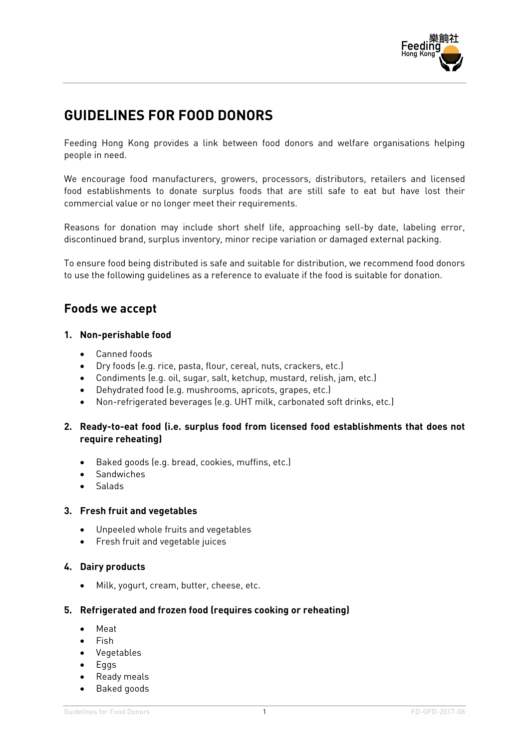

# **GUIDELINES FOR FOOD DONORS**

Feeding Hong Kong provides a link between food donors and welfare organisations helping people in need.

We encourage food manufacturers, growers, processors, distributors, retailers and licensed food establishments to donate surplus foods that are still safe to eat but have lost their commercial value or no longer meet their requirements.

Reasons for donation may include short shelf life, approaching sell-by date, labeling error, discontinued brand, surplus inventory, minor recipe variation or damaged external packing.

To ensure food being distributed is safe and suitable for distribution, we recommend food donors to use the following guidelines as a reference to evaluate if the food is suitable for donation.

### **Foods we accept**

### **1. Non-perishable food**

- Canned foods
- Dry foods (e.g. rice, pasta, flour, cereal, nuts, crackers, etc.)
- Condiments (e.g. oil, sugar, salt, ketchup, mustard, relish, jam, etc.)
- Dehydrated food (e.g. mushrooms, apricots, grapes, etc.)
- Non-refrigerated beverages (e.g. UHT milk, carbonated soft drinks, etc.)

### **2. Ready-to-eat food (i.e. surplus food from licensed food establishments that does not require reheating)**

- Baked goods (e.g. bread, cookies, muffins, etc.)
- Sandwiches
- Salads

#### **3. Fresh fruit and vegetables**

- Unpeeled whole fruits and vegetables
- Fresh fruit and vegetable juices

### **4. Dairy products**

• Milk, yogurt, cream, butter, cheese, etc.

### **5. Refrigerated and frozen food (requires cooking or reheating)**

- Meat
- Fish
- Vegetables
- Eggs
- Ready meals
- Baked goods